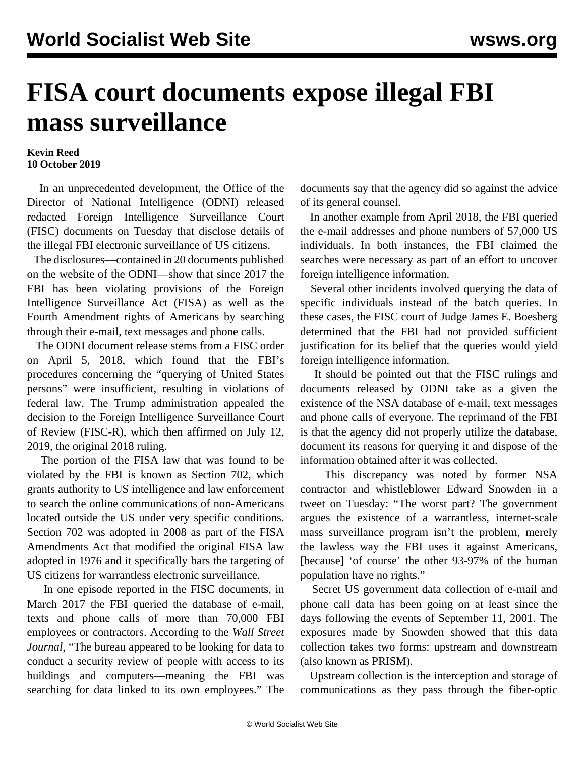## **FISA court documents expose illegal FBI mass surveillance**

## **Kevin Reed 10 October 2019**

 In an unprecedented development, the Office of the Director of National Intelligence (ODNI) released redacted Foreign Intelligence Surveillance Court (FISC) documents on Tuesday that disclose details of the illegal FBI electronic surveillance of US citizens.

 The disclosures—contained in 20 documents published on the website of the ODNI—show that since 2017 the FBI has been violating provisions of the Foreign Intelligence Surveillance Act (FISA) as well as the Fourth Amendment rights of Americans by searching through their e-mail, text messages and phone calls.

 The ODNI document release stems from a FISC order on April 5, 2018, which found that the FBI's procedures concerning the "querying of United States persons" were insufficient, resulting in violations of federal law. The Trump administration appealed the decision to the Foreign Intelligence Surveillance Court of Review (FISC-R), which then affirmed on July 12, 2019, the original 2018 ruling.

 The portion of the FISA law that was found to be violated by the FBI is known as Section 702, which grants authority to US intelligence and law enforcement to search the online communications of non-Americans located outside the US under very specific conditions. Section 702 was adopted in 2008 as part of the FISA Amendments Act that modified the original FISA law adopted in 1976 and it specifically bars the targeting of US citizens for warrantless electronic surveillance.

 In one episode reported in the FISC documents, in March 2017 the FBI queried the database of e-mail, texts and phone calls of more than 70,000 FBI employees or contractors. According to the *Wall Street Journal*, "The bureau appeared to be looking for data to conduct a security review of people with access to its buildings and computers—meaning the FBI was searching for data linked to its own employees." The documents say that the agency did so against the advice of its general counsel.

 In another example from April 2018, the FBI queried the e-mail addresses and phone numbers of 57,000 US individuals. In both instances, the FBI claimed the searches were necessary as part of an effort to uncover foreign intelligence information.

 Several other incidents involved querying the data of specific individuals instead of the batch queries. In these cases, the FISC court of Judge James E. Boesberg determined that the FBI had not provided sufficient justification for its belief that the queries would yield foreign intelligence information.

 It should be pointed out that the FISC rulings and documents released by ODNI take as a given the existence of the NSA database of e-mail, text messages and phone calls of everyone. The reprimand of the FBI is that the agency did not properly utilize the database, document its reasons for querying it and dispose of the information obtained after it was collected.

 This discrepancy was noted by former NSA contractor and whistleblower Edward Snowden in a tweet on Tuesday: "The worst part? The government argues the existence of a warrantless, internet-scale mass surveillance program isn't the problem, merely the lawless way the FBI uses it against Americans, [because] 'of course' the other 93-97% of the human population have no rights."

 Secret US government data collection of e-mail and phone call data has been going on at least since the days following the events of September 11, 2001. The exposures made by Snowden showed that this data collection takes two forms: upstream and downstream (also known as PRISM).

 Upstream collection is the interception and storage of communications as they pass through the fiber-optic